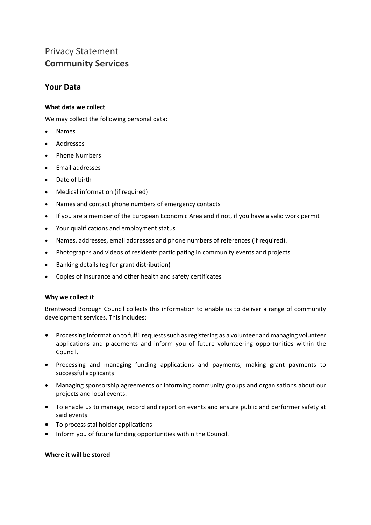# Privacy Statement **Community Services**

# **Your Data**

## **What data we collect**

We may collect the following personal data:

- Names
- Addresses
- Phone Numbers
- Email addresses
- Date of birth
- Medical information (if required)
- Names and contact phone numbers of emergency contacts
- If you are a member of the European Economic Area and if not, if you have a valid work permit
- Your qualifications and employment status
- Names, addresses, email addresses and phone numbers of references (if required).
- Photographs and videos of residents participating in community events and projects
- Banking details (eg for grant distribution)
- Copies of insurance and other health and safety certificates

## **Why we collect it**

Brentwood Borough Council collects this information to enable us to deliver a range of community development services. This includes:

- Processing information to fulfil requests such as registering as a volunteer and managing volunteer applications and placements and inform you of future volunteering opportunities within the Council.
- Processing and managing funding applications and payments, making grant payments to successful applicants
- Managing sponsorship agreements or informing community groups and organisations about our projects and local events.
- To enable us to manage, record and report on events and ensure public and performer safety at said events.
- To process stallholder applications
- Inform you of future funding opportunities within the Council.

#### **Where it will be stored**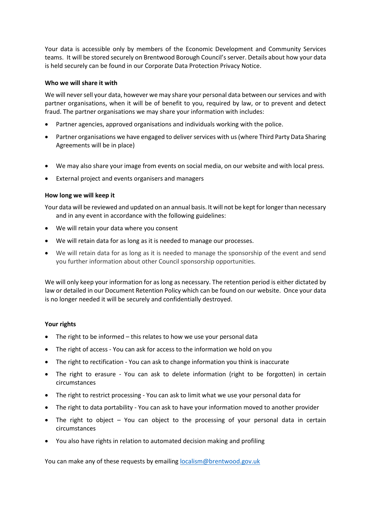Your data is accessible only by members of the Economic Development and Community Services teams. It will be stored securely on Brentwood Borough Council's server. Details about how your data is held securely can be found in our Corporate Data Protection Privacy Notice.

#### **Who we will share it with**

We will never sell your data, however we may share your personal data between our services and with partner organisations, when it will be of benefit to you, required by law, or to prevent and detect fraud. The partner organisations we may share your information with includes:

- Partner agencies, approved organisations and individuals working with the police.
- Partner organisations we have engaged to deliver services with us (where Third Party Data Sharing Agreements will be in place)
- We may also share your image from events on social media, on our website and with local press.
- External project and events organisers and managers

#### **How long we will keep it**

Your data will be reviewed and updated on an annual basis. It will not be kept for longer than necessary and in any event in accordance with the following guidelines:

- We will retain your data where you consent
- We will retain data for as long as it is needed to manage our processes.
- We will retain data for as long as it is needed to manage the sponsorship of the event and send you further information about other Council sponsorship opportunities.

We will only keep your information for as long as necessary. The retention period is either dictated by law or detailed in our Document Retention Policy which can be found on our website. Once your data is no longer needed it will be securely and confidentially destroyed.

#### **Your rights**

- The right to be informed this relates to how we use your personal data
- The right of access You can ask for access to the information we hold on you
- The right to rectification You can ask to change information you think is inaccurate
- The right to erasure You can ask to delete information (right to be forgotten) in certain circumstances
- The right to restrict processing You can ask to limit what we use your personal data for
- The right to data portability You can ask to have your information moved to another provider
- The right to object You can object to the processing of your personal data in certain circumstances
- You also have rights in relation to automated decision making and profiling

You can make any of these requests by emailing [localism@brentwood.gov.uk](mailto:localism@brentwood.gov.uk)